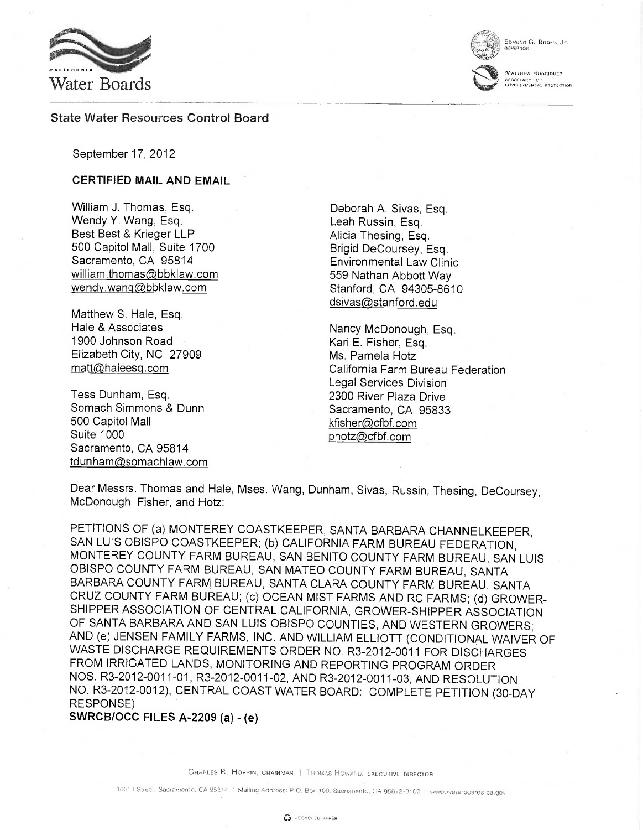



MATTHEW RODRICHE?

SECRETARY FOR:<br>ENVISONMENTAL PROTECTION

vERNO:i

State Water Resources Control Board

September 17, 2012

## CERTIFIED MAIL AND EMAIL

William J. Thomas, Esq. Wendy Y. Wang, Esq. Best Best & Krieger LLP 500 Capitol Mall, Suite 1700 Sacramento, CA 95814 william.thomas@bbklaw.com wendy.wang@bbklaw.com

Matthew S. Hale, Esq. Hale & Associates 1900 Johnson Road Elizabeth City, NC 27909 matt@haleesq.com

Tess Dunham, Esq. Somach Simmons & Dunn 500 Capitol Mall Suite 1000 Sacramento, CA 95814 tdunham@somachlaw.com

Deborah A. Sivas, Esq. Leah Russin, Esq. Alicia Thesing, Esq. Brigid DeCoursey, Esq. Environmental Law Clinic 559 Nathan Abbott Way Stanford, CA 94305-8610 dsivas@stanford.edu

Nancy McDonough, Esq. Kari E. Fisher, Esq. Ms. Pamela Hotz California Farm Bureau Federation Legal Services Division 2300 River Plaza Drive Sacramento, CA 95833 kfisher@cfbf.com photz@cfbf.com

Dear Messrs. Thomas and Hale, Mses. Wang, Dunham, Sivas, Russin, Thesing, DeCoursey, McDonough, Fisher, and Hotz:

PETITIONS OF (a) MONTEREY COASTKEEPER, SANTA BARBARA CHANNELKEEPER, SAN LUIS OBISPO COASTKEEPER; (b) CALIFORNIA FARM BUREAU FEDERATION, MONTEREY COUNTY FARM BUREAU, SAN BENITO COUNTY FARM BUREAU, SAN LUIS OBISPO COUNTY FARM BUREAU, SAN MATEO COUNTY FARM BUREAU, SANTA BARBARA COUNTY FARM BUREAU, SANTA CLARA COUNTY FARM BUREAU, SANTA CRUZ COUNTY FARM BUREAU; (c) OCEAN MIST FARMS AND RC FARMS; (d) GROWER-SHIPPER ASSOCIATION OF CENTRAL CALIFORNIA, GROWER-SHIPPER ASSOCIATION OF SANTA BARBARA AND SAN LUIS OBISPO COUNTIES, AND WESTERN GROWERS; AND (e) JENSEN FAMILY FARMS, INC. AND WILLIAM ELLIOTT (CONDITIONAL WAIVER OF WASTE DISCHARGE REQUIREMENTS ORDER NO. R3-2012-0011 FOR DISCHARGES FROM IRRIGATED LANDS, MONITORING AND REPORTING PROGRAM ORDER NOS. R3-2012-0011-01, R3-2012-0011-02, AND R3-2012-0011-03, AND RESOLUTION NO. R3-2012-0012), CENTRAL COAST WATER BOARD: COMPLETE PETITION (30-DAY RESPONSE)

SWRCB/OCC FILES A-2209 (a) - (e)

CHARLES FL HOPPIN, CHAIRMAN I THOMAS HOWARD, EXECUTIVE DIRECTOR

1001 | Street, Sacramento, CA 9581<sup>z</sup> | Mailing Address: P.O. Box 100, Sacramentc, CA 95812-0100 | www.waterboards.ca.gov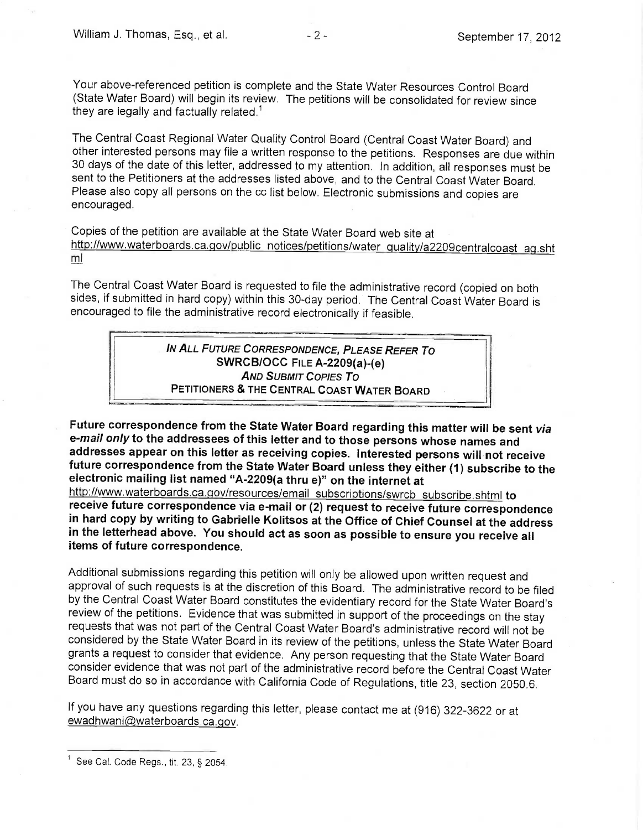Your above-referenced petition is complete and the State Water Resources Control Board (State Water Board) will begin its review. The petitions will be consolidated for review since they are legally and factually related.<sup>1</sup>

The Central Coast Regional Water Quality Control Board (Central Coast Water Board) and other interested persons may file a written response to the petitions. Responses are due within 30 days of the date of this letter, addressed to my attention. In addition, all responses must be sent to the Petitioners at the addresses listed above, and to the Central Coast Water Board. Please also copy all persons on the cc list below. Electronic submissions and copies are encouraged.

Copies of the petition are available at the State Water Board web site at http://www.waterboards.ca.qov/public notices/petitions/water quality/a2209centralcoast aq.sht ml

The Central Coast Water Board is requested to file the administrative record (copied on both sides, if submitted in hard copy) within this 30-day period. The Central Coast Water Board is encouraged to file the administrative record electronically if feasible.

> IN ALL FUTURE CORRESPONDENCE, PLEASE REFER To SWRCB/OCC FILE A-2209(a)-(e) AND SUBMIT COPIES To PETITIONERS & THE CENTRAL COAST WATER BOARD

Future correspondence from the State Water Board regarding this matter will be sent *via*<br>e-*mail only* to the addressees of this letter and to those persons whose names and addresses appear on this letter as receiving copies. Interested persons will not receive future correspondence from the State Water Board unless they either (1) subscribe to the electronic mailing list named "A-2209(a thru e)" on the internet at

http://www.waterboards.ca.qov/resources/email subscriptions/swrcb subscribe.shtml to receive future correspondence via e-mail or (2) request to receive future correspondence in hard copy by writing to Gabrielle Kolitsos at the Office of Chief Counsel at the address in the letterhead above. You should act as soon as possible to ensure you receive all items of future correspondence.

Additional submissions regarding this petition will only be allowed upon written request and approval of such requests is at the discretion of this Board. The administrative record to be filed by the Central Coast Water Board constitutes the evidentiary record forthe State Water Board's review of the petitions. Evidence that was submitted in support of the proceedings on the stay requests that was not part of the Central Coast Water Board's administrative record will not be considered by the State Water Board in its review of the petitions, unless the State Water Board grants a request to consider that evidence. Any person requesting that the State Water Board consider evidence that was not part of the administrative record before the Central Coast Water Board must do so in accordance with California Code of Regulations, title 23, section 2050.6.

If you have any questions regarding this letter, please contact me at (916) 322-3622 or at ewadhwani@waterboards.ca.gov.

See Cal. Code Regs., tit. 23, § 2054.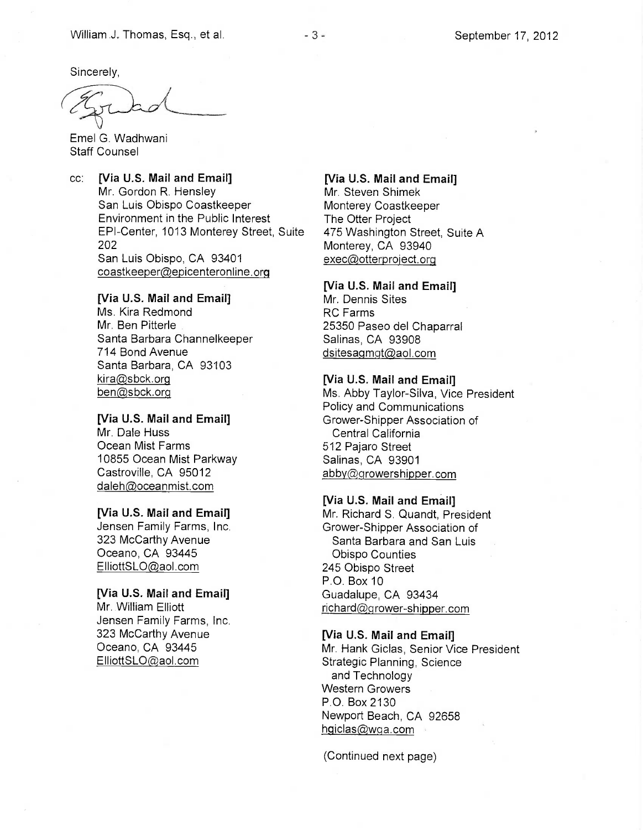Sincerely,

Emel G. Wadhwani Staff Counsel

cc: [Via U.S. Mail and Email] Mr. Gordon R. Hensley San Luis Obispo Coastkeeper Environment in the Public Interest EPI-Center, 1013 Monterey Street, Suite 202 San Luis Obispo, CA 93401 coastkeeper@epicenteronline.org

### [Via U.S. Mail and Email]

Ms. Kira Redmond Mr. Ben Pitterle Santa Barbara Channelkeeper 714 Bond Avenue Santa Barbara, CA 93103  $kira@sbck.org$ ben@sbck.org

#### [Via U.S. Mail and Email] Mr. Dale Huss

Ocean Mist Farms 10855 Ocean Mist Parkway Castroville, CA 95012 daleh@oceanmist.com

#### [Via U.S. Mail and Email]

Jensen Family Farms, Inc. 323 McCarthy Avenue Oceano, CA 93445 ElliottSLO@aol.com

## [Via U.S. Mail and Email]

Mr. William Elliott Jensen Family Farms, Inc. 323 McCarthy Avenue Oceano, CA 93445 ElliottSLO @aol.com

# [Via U.S. Mail and Email] Mr. Steven Shimek Monterey Coastkeeper The Otter Project 475 Washington Street, Suite A Monterey, CA 93940 exec@otterproject.org

#### [Via U.S. Mail and Email]

Mr. Dennis Sites RC Farms 25350 Paseo del Chaparral Salinas, CA 93908 dsitesagmgt@aol.com

#### [Via U.S. Mail and Email]

Ms. Abby Taylor-Silva, Vice President Policy and Communications Grower-Shipper Association of Central California 512 Pajaro Street Salinas, CA 93901 abby@growershipper.com

### [Via U.S. Mail and Email]

Mr. Richard S. Quandt, President Grower-Shipper Association of Santa Barbara and San Luis Obispo Counties 245 Obispo Street P.O. Box 10 Guadalupe, CA 93434  $richard@groupver-shipper.com$ 

# [Via U.S. Mail and Email]

Mr. Hank Giclas, Senior Vice President Strategic Planning, Science and Technology Western Growers P.O. Box 2130 Newport Beach, CA 92658 hgiclas@wqa.com

(Continued next page)